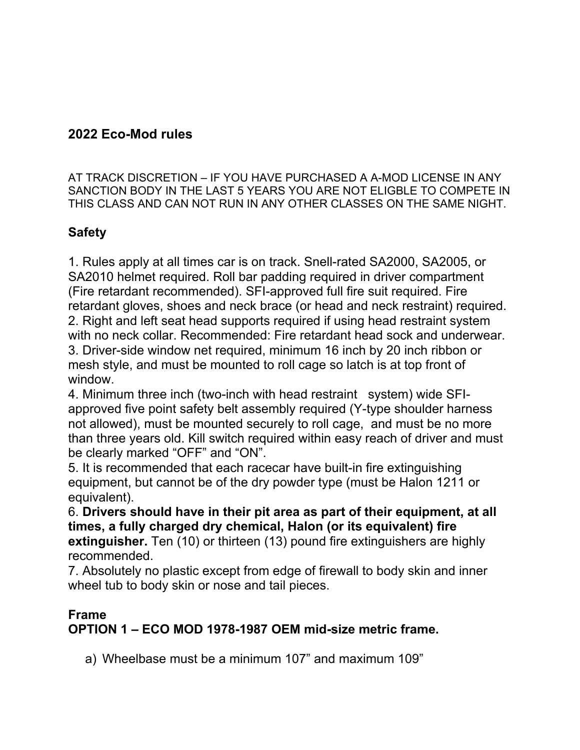## **2022 Eco-Mod rules**

AT TRACK DISCRETION – IF YOU HAVE PURCHASED A A-MOD LICENSE IN ANY SANCTION BODY IN THE LAST 5 YEARS YOU ARE NOT ELIGBLE TO COMPETE IN THIS CLASS AND CAN NOT RUN IN ANY OTHER CLASSES ON THE SAME NIGHT.

## **Safety**

1. Rules apply at all times car is on track. Snell-rated SA2000, SA2005, or SA2010 helmet required. Roll bar padding required in driver compartment (Fire retardant recommended). SFI-approved full fire suit required. Fire retardant gloves, shoes and neck brace (or head and neck restraint) required. 2. Right and left seat head supports required if using head restraint system with no neck collar. Recommended: Fire retardant head sock and underwear. 3. Driver-side window net required, minimum 16 inch by 20 inch ribbon or mesh style, and must be mounted to roll cage so latch is at top front of window.

4. Minimum three inch (two-inch with head restraint system) wide SFIapproved five point safety belt assembly required (Y-type shoulder harness not allowed), must be mounted securely to roll cage, and must be no more than three years old. Kill switch required within easy reach of driver and must be clearly marked "OFF" and "ON".

5. It is recommended that each racecar have built-in fire extinguishing equipment, but cannot be of the dry powder type (must be Halon 1211 or equivalent).

6. **Drivers should have in their pit area as part of their equipment, at all times, a fully charged dry chemical, Halon (or its equivalent) fire extinguisher.** Ten (10) or thirteen (13) pound fire extinguishers are highly recommended.

7. Absolutely no plastic except from edge of firewall to body skin and inner wheel tub to body skin or nose and tail pieces.

#### **Frame**

**OPTION 1 – ECO MOD 1978-1987 OEM mid-size metric frame.**

a) Wheelbase must be a minimum 107" and maximum 109"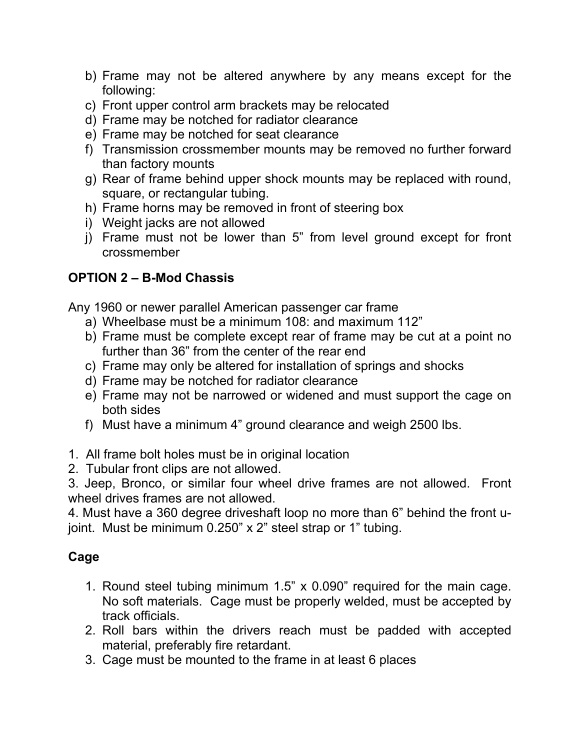- b) Frame may not be altered anywhere by any means except for the following:
- c) Front upper control arm brackets may be relocated
- d) Frame may be notched for radiator clearance
- e) Frame may be notched for seat clearance
- f) Transmission crossmember mounts may be removed no further forward than factory mounts
- g) Rear of frame behind upper shock mounts may be replaced with round, square, or rectangular tubing.
- h) Frame horns may be removed in front of steering box
- i) Weight jacks are not allowed
- j) Frame must not be lower than 5" from level ground except for front crossmember

# **OPTION 2 – B-Mod Chassis**

Any 1960 or newer parallel American passenger car frame

- a) Wheelbase must be a minimum 108: and maximum 112"
- b) Frame must be complete except rear of frame may be cut at a point no further than 36" from the center of the rear end
- c) Frame may only be altered for installation of springs and shocks
- d) Frame may be notched for radiator clearance
- e) Frame may not be narrowed or widened and must support the cage on both sides
- f) Must have a minimum 4" ground clearance and weigh 2500 lbs.
- 1. All frame bolt holes must be in original location
- 2. Tubular front clips are not allowed.

3. Jeep, Bronco, or similar four wheel drive frames are not allowed. Front wheel drives frames are not allowed.

4. Must have a 360 degree driveshaft loop no more than 6" behind the front ujoint. Must be minimum 0.250" x 2" steel strap or 1" tubing.

## **Cage**

- 1. Round steel tubing minimum 1.5" x 0.090" required for the main cage. No soft materials. Cage must be properly welded, must be accepted by track officials.
- 2. Roll bars within the drivers reach must be padded with accepted material, preferably fire retardant.
- 3. Cage must be mounted to the frame in at least 6 places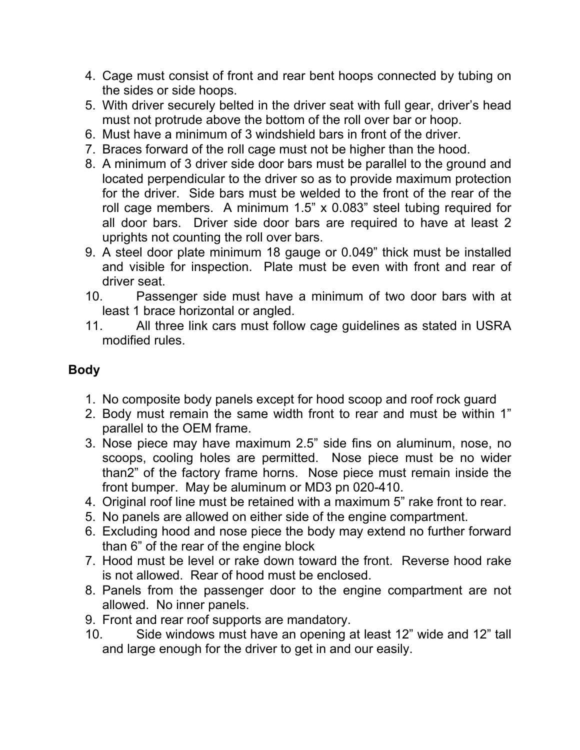- 4. Cage must consist of front and rear bent hoops connected by tubing on the sides or side hoops.
- 5. With driver securely belted in the driver seat with full gear, driver's head must not protrude above the bottom of the roll over bar or hoop.
- 6. Must have a minimum of 3 windshield bars in front of the driver.
- 7. Braces forward of the roll cage must not be higher than the hood.
- 8. A minimum of 3 driver side door bars must be parallel to the ground and located perpendicular to the driver so as to provide maximum protection for the driver. Side bars must be welded to the front of the rear of the roll cage members. A minimum 1.5" x 0.083" steel tubing required for all door bars. Driver side door bars are required to have at least 2 uprights not counting the roll over bars.
- 9. A steel door plate minimum 18 gauge or 0.049" thick must be installed and visible for inspection. Plate must be even with front and rear of driver seat.
- 10. Passenger side must have a minimum of two door bars with at least 1 brace horizontal or angled.
- 11. All three link cars must follow cage guidelines as stated in USRA modified rules.

# **Body**

- 1. No composite body panels except for hood scoop and roof rock guard
- 2. Body must remain the same width front to rear and must be within 1" parallel to the OEM frame.
- 3. Nose piece may have maximum 2.5" side fins on aluminum, nose, no scoops, cooling holes are permitted. Nose piece must be no wider than2" of the factory frame horns. Nose piece must remain inside the front bumper. May be aluminum or MD3 pn 020-410.
- 4. Original roof line must be retained with a maximum 5" rake front to rear.
- 5. No panels are allowed on either side of the engine compartment.
- 6. Excluding hood and nose piece the body may extend no further forward than 6" of the rear of the engine block
- 7. Hood must be level or rake down toward the front. Reverse hood rake is not allowed. Rear of hood must be enclosed.
- 8. Panels from the passenger door to the engine compartment are not allowed. No inner panels.
- 9. Front and rear roof supports are mandatory.
- 10. Side windows must have an opening at least 12" wide and 12" tall and large enough for the driver to get in and our easily.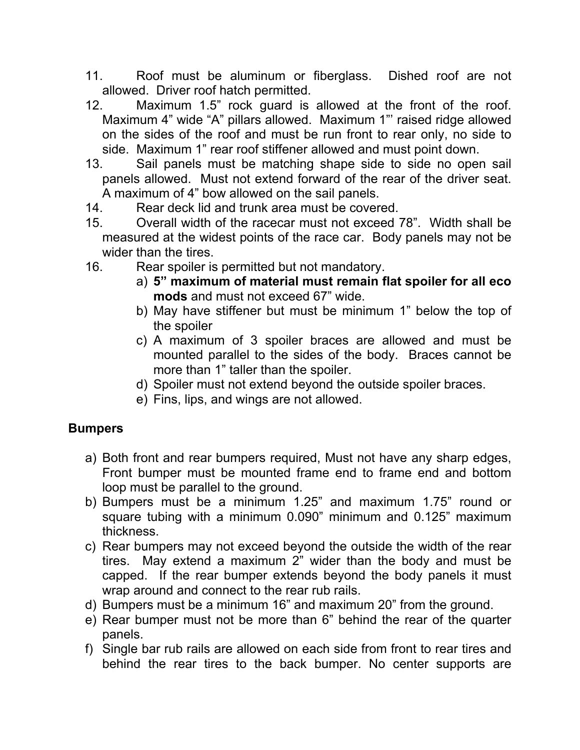- 11. Roof must be aluminum or fiberglass. Dished roof are not allowed. Driver roof hatch permitted.
- 12. Maximum 1.5" rock guard is allowed at the front of the roof. Maximum 4" wide "A" pillars allowed. Maximum 1"' raised ridge allowed on the sides of the roof and must be run front to rear only, no side to side. Maximum 1" rear roof stiffener allowed and must point down.
- 13. Sail panels must be matching shape side to side no open sail panels allowed. Must not extend forward of the rear of the driver seat. A maximum of 4" bow allowed on the sail panels.
- 14. Rear deck lid and trunk area must be covered.
- 15. Overall width of the racecar must not exceed 78". Width shall be measured at the widest points of the race car. Body panels may not be wider than the tires.
- 16. Rear spoiler is permitted but not mandatory.
	- a) **5" maximum of material must remain flat spoiler for all eco mods** and must not exceed 67" wide.
	- b) May have stiffener but must be minimum 1" below the top of the spoiler
	- c) A maximum of 3 spoiler braces are allowed and must be mounted parallel to the sides of the body. Braces cannot be more than 1" taller than the spoiler.
	- d) Spoiler must not extend beyond the outside spoiler braces.
	- e) Fins, lips, and wings are not allowed.

## **Bumpers**

- a) Both front and rear bumpers required, Must not have any sharp edges, Front bumper must be mounted frame end to frame end and bottom loop must be parallel to the ground.
- b) Bumpers must be a minimum 1.25" and maximum 1.75" round or square tubing with a minimum 0.090" minimum and 0.125" maximum thickness.
- c) Rear bumpers may not exceed beyond the outside the width of the rear tires. May extend a maximum 2" wider than the body and must be capped. If the rear bumper extends beyond the body panels it must wrap around and connect to the rear rub rails.
- d) Bumpers must be a minimum 16" and maximum 20" from the ground.
- e) Rear bumper must not be more than 6" behind the rear of the quarter panels.
- f) Single bar rub rails are allowed on each side from front to rear tires and behind the rear tires to the back bumper. No center supports are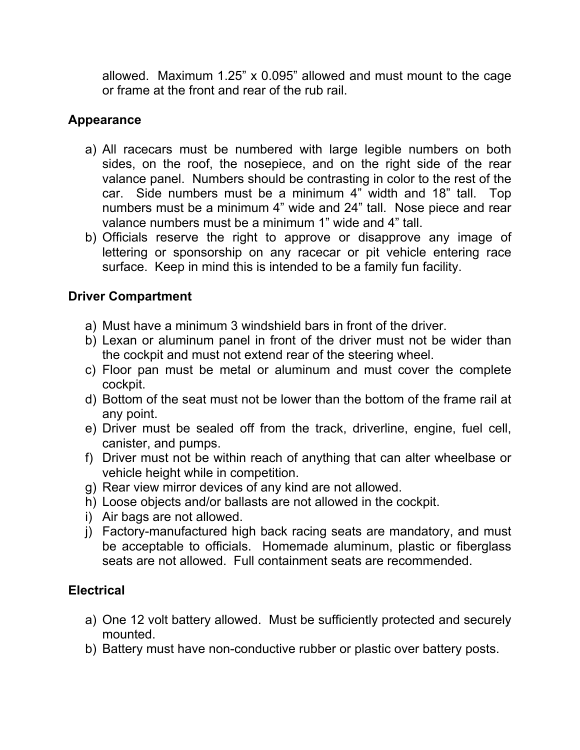allowed. Maximum 1.25" x 0.095" allowed and must mount to the cage or frame at the front and rear of the rub rail.

### **Appearance**

- a) All racecars must be numbered with large legible numbers on both sides, on the roof, the nosepiece, and on the right side of the rear valance panel. Numbers should be contrasting in color to the rest of the car. Side numbers must be a minimum 4" width and 18" tall. Top numbers must be a minimum 4" wide and 24" tall. Nose piece and rear valance numbers must be a minimum 1" wide and 4" tall.
- b) Officials reserve the right to approve or disapprove any image of lettering or sponsorship on any racecar or pit vehicle entering race surface. Keep in mind this is intended to be a family fun facility.

## **Driver Compartment**

- a) Must have a minimum 3 windshield bars in front of the driver.
- b) Lexan or aluminum panel in front of the driver must not be wider than the cockpit and must not extend rear of the steering wheel.
- c) Floor pan must be metal or aluminum and must cover the complete cockpit.
- d) Bottom of the seat must not be lower than the bottom of the frame rail at any point.
- e) Driver must be sealed off from the track, driverline, engine, fuel cell, canister, and pumps.
- f) Driver must not be within reach of anything that can alter wheelbase or vehicle height while in competition.
- g) Rear view mirror devices of any kind are not allowed.
- h) Loose objects and/or ballasts are not allowed in the cockpit.
- i) Air bags are not allowed.
- j) Factory-manufactured high back racing seats are mandatory, and must be acceptable to officials. Homemade aluminum, plastic or fiberglass seats are not allowed. Full containment seats are recommended.

### **Electrical**

- a) One 12 volt battery allowed. Must be sufficiently protected and securely mounted.
- b) Battery must have non-conductive rubber or plastic over battery posts.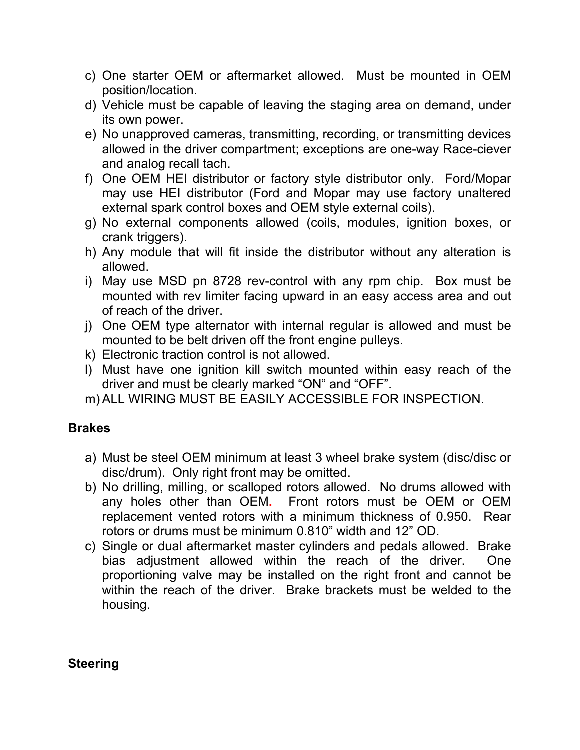- c) One starter OEM or aftermarket allowed. Must be mounted in OEM position/location.
- d) Vehicle must be capable of leaving the staging area on demand, under its own power.
- e) No unapproved cameras, transmitting, recording, or transmitting devices allowed in the driver compartment; exceptions are one-way Race-ciever and analog recall tach.
- f) One OEM HEI distributor or factory style distributor only. Ford/Mopar may use HEI distributor (Ford and Mopar may use factory unaltered external spark control boxes and OEM style external coils).
- g) No external components allowed (coils, modules, ignition boxes, or crank triggers).
- h) Any module that will fit inside the distributor without any alteration is allowed.
- i) May use MSD pn 8728 rev-control with any rpm chip. Box must be mounted with rev limiter facing upward in an easy access area and out of reach of the driver.
- j) One OEM type alternator with internal regular is allowed and must be mounted to be belt driven off the front engine pulleys.
- k) Electronic traction control is not allowed.
- l) Must have one ignition kill switch mounted within easy reach of the driver and must be clearly marked "ON" and "OFF".
- m) ALL WIRING MUST BE EASILY ACCESSIBLE FOR INSPECTION.

### **Brakes**

- a) Must be steel OEM minimum at least 3 wheel brake system (disc/disc or disc/drum). Only right front may be omitted.
- b) No drilling, milling, or scalloped rotors allowed. No drums allowed with any holes other than OEM**.** Front rotors must be OEM or OEM replacement vented rotors with a minimum thickness of 0.950. Rear rotors or drums must be minimum 0.810" width and 12" OD.
- c) Single or dual aftermarket master cylinders and pedals allowed. Brake bias adjustment allowed within the reach of the driver. One proportioning valve may be installed on the right front and cannot be within the reach of the driver. Brake brackets must be welded to the housing.

### **Steering**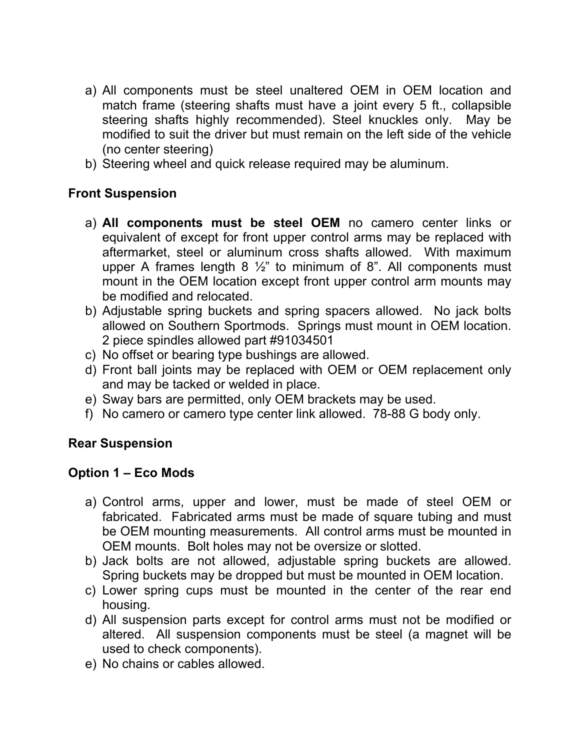- a) All components must be steel unaltered OEM in OEM location and match frame (steering shafts must have a joint every 5 ft., collapsible steering shafts highly recommended). Steel knuckles only. May be modified to suit the driver but must remain on the left side of the vehicle (no center steering)
- b) Steering wheel and quick release required may be aluminum.

#### **Front Suspension**

- a) **All components must be steel OEM** no camero center links or equivalent of except for front upper control arms may be replaced with aftermarket, steel or aluminum cross shafts allowed. With maximum upper A frames length  $8\frac{1}{2}$ " to minimum of  $8$ ". All components must mount in the OEM location except front upper control arm mounts may be modified and relocated.
- b) Adjustable spring buckets and spring spacers allowed. No jack bolts allowed on Southern Sportmods. Springs must mount in OEM location. 2 piece spindles allowed part #91034501
- c) No offset or bearing type bushings are allowed.
- d) Front ball joints may be replaced with OEM or OEM replacement only and may be tacked or welded in place.
- e) Sway bars are permitted, only OEM brackets may be used.
- f) No camero or camero type center link allowed. 78-88 G body only.

#### **Rear Suspension**

### **Option 1 – Eco Mods**

- a) Control arms, upper and lower, must be made of steel OEM or fabricated. Fabricated arms must be made of square tubing and must be OEM mounting measurements. All control arms must be mounted in OEM mounts. Bolt holes may not be oversize or slotted.
- b) Jack bolts are not allowed, adjustable spring buckets are allowed. Spring buckets may be dropped but must be mounted in OEM location.
- c) Lower spring cups must be mounted in the center of the rear end housing.
- d) All suspension parts except for control arms must not be modified or altered. All suspension components must be steel (a magnet will be used to check components).
- e) No chains or cables allowed.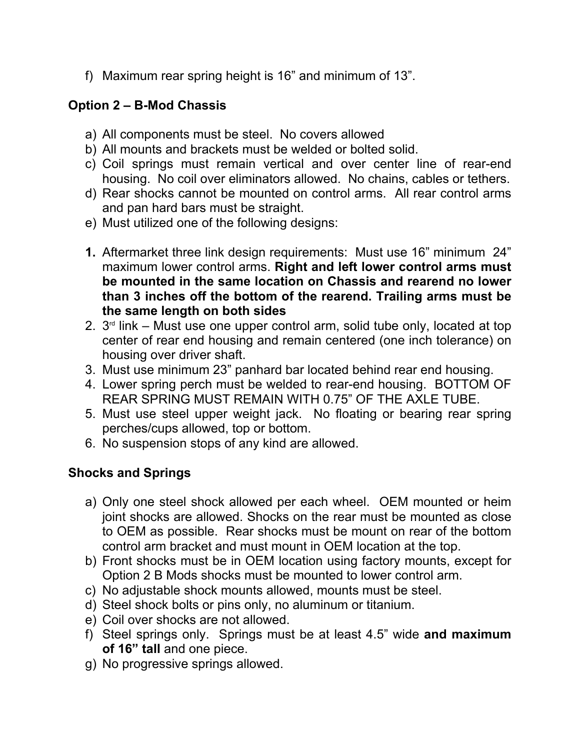f) Maximum rear spring height is 16" and minimum of 13".

## **Option 2 – B-Mod Chassis**

- a) All components must be steel. No covers allowed
- b) All mounts and brackets must be welded or bolted solid.
- c) Coil springs must remain vertical and over center line of rear-end housing. No coil over eliminators allowed. No chains, cables or tethers.
- d) Rear shocks cannot be mounted on control arms. All rear control arms and pan hard bars must be straight.
- e) Must utilized one of the following designs:
- **1.** Aftermarket three link design requirements: Must use 16" minimum 24" maximum lower control arms. **Right and left lower control arms must be mounted in the same location on Chassis and rearend no lower than 3 inches off the bottom of the rearend. Trailing arms must be the same length on both sides**
- 2. 3 rd link Must use one upper control arm, solid tube only, located at top center of rear end housing and remain centered (one inch tolerance) on housing over driver shaft.
- 3. Must use minimum 23" panhard bar located behind rear end housing.
- 4. Lower spring perch must be welded to rear-end housing. BOTTOM OF REAR SPRING MUST REMAIN WITH 0.75" OF THE AXLE TUBE.
- 5. Must use steel upper weight jack. No floating or bearing rear spring perches/cups allowed, top or bottom.
- 6. No suspension stops of any kind are allowed.

## **Shocks and Springs**

- a) Only one steel shock allowed per each wheel. OEM mounted or heim joint shocks are allowed. Shocks on the rear must be mounted as close to OEM as possible. Rear shocks must be mount on rear of the bottom control arm bracket and must mount in OEM location at the top.
- b) Front shocks must be in OEM location using factory mounts, except for Option 2 B Mods shocks must be mounted to lower control arm.
- c) No adjustable shock mounts allowed, mounts must be steel.
- d) Steel shock bolts or pins only, no aluminum or titanium.
- e) Coil over shocks are not allowed.
- f) Steel springs only. Springs must be at least 4.5" wide **and maximum of 16" tall** and one piece.
- g) No progressive springs allowed.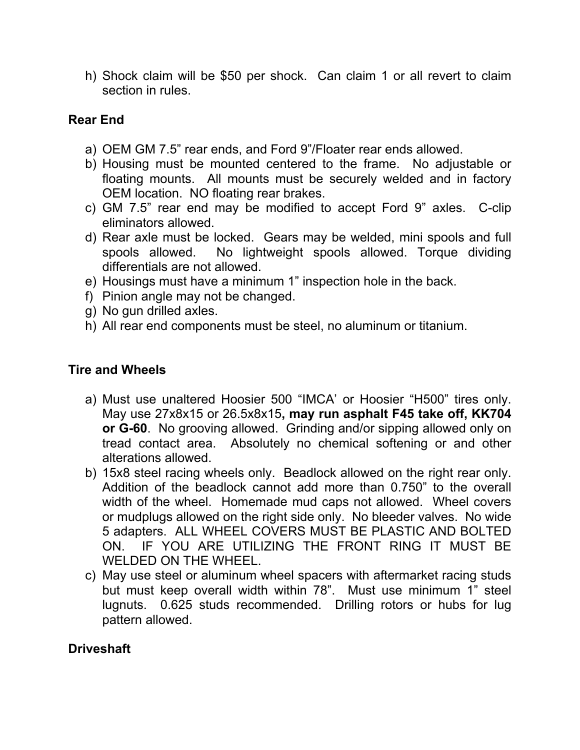h) Shock claim will be \$50 per shock. Can claim 1 or all revert to claim section in rules.

### **Rear End**

- a) OEM GM 7.5" rear ends, and Ford 9"/Floater rear ends allowed.
- b) Housing must be mounted centered to the frame. No adjustable or floating mounts. All mounts must be securely welded and in factory OEM location. NO floating rear brakes.
- c) GM 7.5" rear end may be modified to accept Ford 9" axles. C-clip eliminators allowed.
- d) Rear axle must be locked. Gears may be welded, mini spools and full spools allowed. No lightweight spools allowed. Torque dividing differentials are not allowed.
- e) Housings must have a minimum 1" inspection hole in the back.
- f) Pinion angle may not be changed.
- g) No gun drilled axles.
- h) All rear end components must be steel, no aluminum or titanium.

### **Tire and Wheels**

- a) Must use unaltered Hoosier 500 "IMCA' or Hoosier "H500" tires only. May use 27x8x15 or 26.5x8x15**, may run asphalt F45 take off, KK704 or G-60**. No grooving allowed. Grinding and/or sipping allowed only on tread contact area. Absolutely no chemical softening or and other alterations allowed.
- b) 15x8 steel racing wheels only. Beadlock allowed on the right rear only. Addition of the beadlock cannot add more than 0.750" to the overall width of the wheel. Homemade mud caps not allowed. Wheel covers or mudplugs allowed on the right side only. No bleeder valves. No wide 5 adapters. ALL WHEEL COVERS MUST BE PLASTIC AND BOLTED ON. IF YOU ARE UTILIZING THE FRONT RING IT MUST BE WELDED ON THE WHEEL.
- c) May use steel or aluminum wheel spacers with aftermarket racing studs but must keep overall width within 78". Must use minimum 1" steel lugnuts. 0.625 studs recommended. Drilling rotors or hubs for lug pattern allowed.

## **Driveshaft**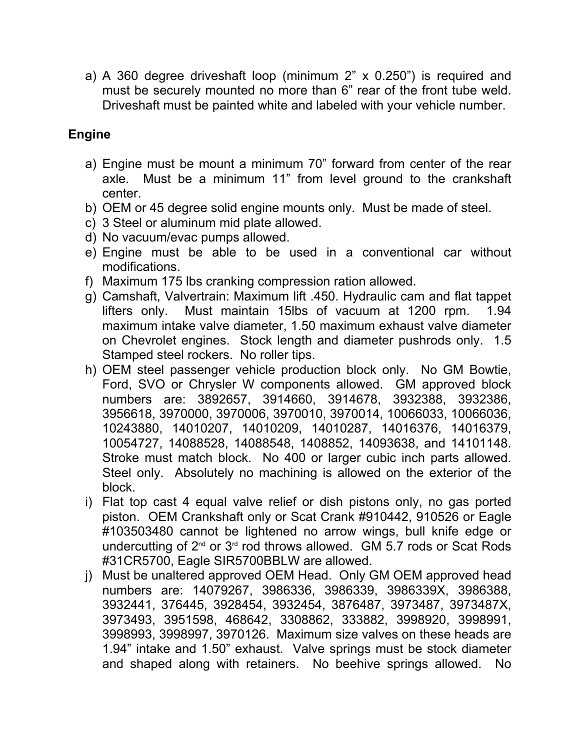a) A 360 degree driveshaft loop (minimum 2" x 0.250") is required and must be securely mounted no more than 6" rear of the front tube weld. Driveshaft must be painted white and labeled with your vehicle number.

## **Engine**

- a) Engine must be mount a minimum 70" forward from center of the rear axle. Must be a minimum 11" from level ground to the crankshaft center.
- b) OEM or 45 degree solid engine mounts only. Must be made of steel.
- c) 3 Steel or aluminum mid plate allowed.
- d) No vacuum/evac pumps allowed.
- e) Engine must be able to be used in a conventional car without modifications.
- f) Maximum 175 lbs cranking compression ration allowed.
- g) Camshaft, Valvertrain: Maximum lift .450. Hydraulic cam and flat tappet lifters only. Must maintain 15lbs of vacuum at 1200 rpm. 1.94 maximum intake valve diameter, 1.50 maximum exhaust valve diameter on Chevrolet engines. Stock length and diameter pushrods only. 1.5 Stamped steel rockers. No roller tips.
- h) OEM steel passenger vehicle production block only. No GM Bowtie, Ford, SVO or Chrysler W components allowed. GM approved block numbers are: 3892657, 3914660, 3914678, 3932388, 3932386, 3956618, 3970000, 3970006, 3970010, 3970014, 10066033, 10066036, 10243880, 14010207, 14010209, 14010287, 14016376, 14016379, 10054727, 14088528, 14088548, 1408852, 14093638, and 14101148. Stroke must match block. No 400 or larger cubic inch parts allowed. Steel only. Absolutely no machining is allowed on the exterior of the block.
- i) Flat top cast 4 equal valve relief or dish pistons only, no gas ported piston. OEM Crankshaft only or Scat Crank #910442, 910526 or Eagle #103503480 cannot be lightened no arrow wings, bull knife edge or undercutting of 2<sup>nd</sup> or 3<sup>rd</sup> rod throws allowed. GM 5.7 rods or Scat Rods #31CR5700, Eagle SIR5700BBLW are allowed.
- j) Must be unaltered approved OEM Head. Only GM OEM approved head numbers are: 14079267, 3986336, 3986339, 3986339X, 3986388, 3932441, 376445, 3928454, 3932454, 3876487, 3973487, 3973487X, 3973493, 3951598, 468642, 3308862, 333882, 3998920, 3998991, 3998993, 3998997, 3970126. Maximum size valves on these heads are 1.94" intake and 1.50" exhaust. Valve springs must be stock diameter and shaped along with retainers. No beehive springs allowed. No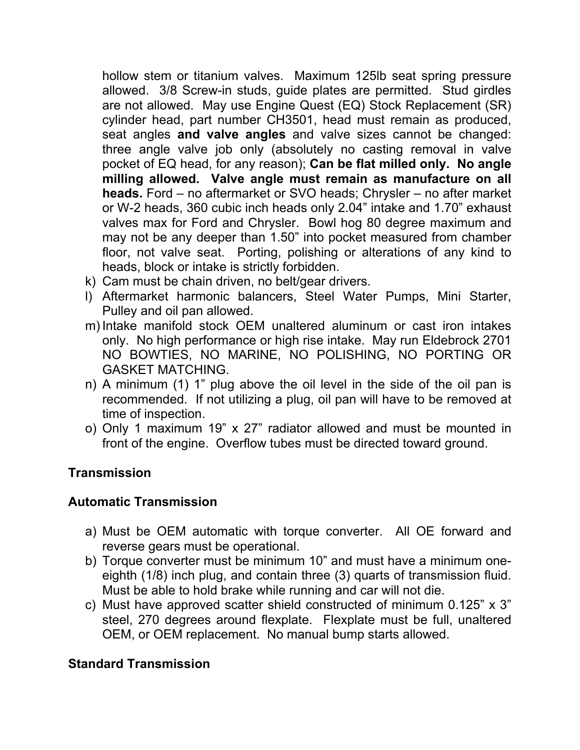hollow stem or titanium valves. Maximum 125lb seat spring pressure allowed. 3/8 Screw-in studs, guide plates are permitted. Stud girdles are not allowed. May use Engine Quest (EQ) Stock Replacement (SR) cylinder head, part number CH3501, head must remain as produced, seat angles **and valve angles** and valve sizes cannot be changed: three angle valve job only (absolutely no casting removal in valve pocket of EQ head, for any reason); **Can be flat milled only. No angle milling allowed. Valve angle must remain as manufacture on all heads.** Ford – no aftermarket or SVO heads; Chrysler – no after market or W-2 heads, 360 cubic inch heads only 2.04" intake and 1.70" exhaust valves max for Ford and Chrysler. Bowl hog 80 degree maximum and may not be any deeper than 1.50" into pocket measured from chamber floor, not valve seat. Porting, polishing or alterations of any kind to heads, block or intake is strictly forbidden.

- k) Cam must be chain driven, no belt/gear drivers.
- l) Aftermarket harmonic balancers, Steel Water Pumps, Mini Starter, Pulley and oil pan allowed.
- m) Intake manifold stock OEM unaltered aluminum or cast iron intakes only. No high performance or high rise intake. May run Eldebrock 2701 NO BOWTIES, NO MARINE, NO POLISHING, NO PORTING OR GASKET MATCHING.
- n) A minimum (1) 1" plug above the oil level in the side of the oil pan is recommended. If not utilizing a plug, oil pan will have to be removed at time of inspection.
- o) Only 1 maximum 19" x 27" radiator allowed and must be mounted in front of the engine. Overflow tubes must be directed toward ground.

### **Transmission**

#### **Automatic Transmission**

- a) Must be OEM automatic with torque converter. All OE forward and reverse gears must be operational.
- b) Torque converter must be minimum 10" and must have a minimum oneeighth (1/8) inch plug, and contain three (3) quarts of transmission fluid. Must be able to hold brake while running and car will not die.
- c) Must have approved scatter shield constructed of minimum 0.125" x 3" steel, 270 degrees around flexplate. Flexplate must be full, unaltered OEM, or OEM replacement. No manual bump starts allowed.

#### **Standard Transmission**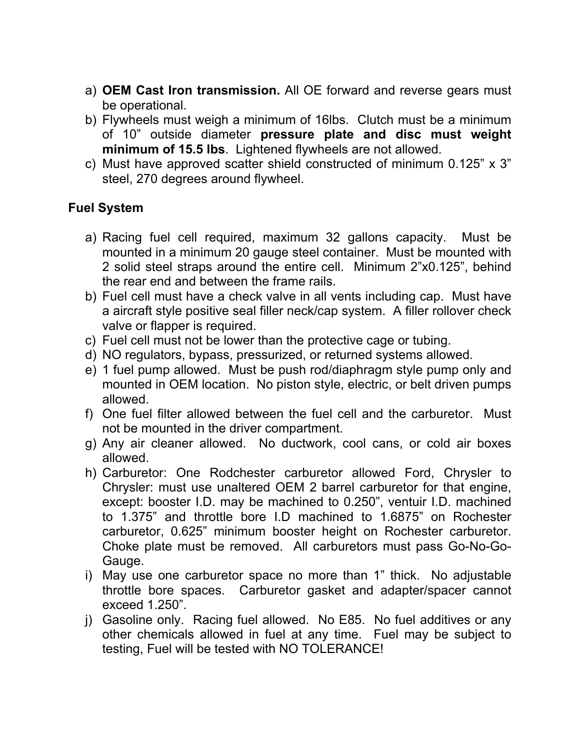- a) **OEM Cast Iron transmission.** All OE forward and reverse gears must be operational.
- b) Flywheels must weigh a minimum of 16lbs. Clutch must be a minimum of 10" outside diameter **pressure plate and disc must weight minimum of 15.5 lbs**. Lightened flywheels are not allowed.
- c) Must have approved scatter shield constructed of minimum 0.125" x 3" steel, 270 degrees around flywheel.

#### **Fuel System**

- a) Racing fuel cell required, maximum 32 gallons capacity. Must be mounted in a minimum 20 gauge steel container. Must be mounted with 2 solid steel straps around the entire cell. Minimum 2"x0.125", behind the rear end and between the frame rails.
- b) Fuel cell must have a check valve in all vents including cap. Must have a aircraft style positive seal filler neck/cap system. A filler rollover check valve or flapper is required.
- c) Fuel cell must not be lower than the protective cage or tubing.
- d) NO regulators, bypass, pressurized, or returned systems allowed.
- e) 1 fuel pump allowed. Must be push rod/diaphragm style pump only and mounted in OEM location. No piston style, electric, or belt driven pumps allowed.
- f) One fuel filter allowed between the fuel cell and the carburetor. Must not be mounted in the driver compartment.
- g) Any air cleaner allowed. No ductwork, cool cans, or cold air boxes allowed.
- h) Carburetor: One Rodchester carburetor allowed Ford, Chrysler to Chrysler: must use unaltered OEM 2 barrel carburetor for that engine, except: booster I.D. may be machined to 0.250", ventuir I.D. machined to 1.375" and throttle bore I.D machined to 1.6875" on Rochester carburetor, 0.625" minimum booster height on Rochester carburetor. Choke plate must be removed. All carburetors must pass Go-No-Go-Gauge.
- i) May use one carburetor space no more than 1" thick. No adjustable throttle bore spaces. Carburetor gasket and adapter/spacer cannot exceed 1.250".
- j) Gasoline only. Racing fuel allowed. No E85. No fuel additives or any other chemicals allowed in fuel at any time. Fuel may be subject to testing, Fuel will be tested with NO TOLERANCE!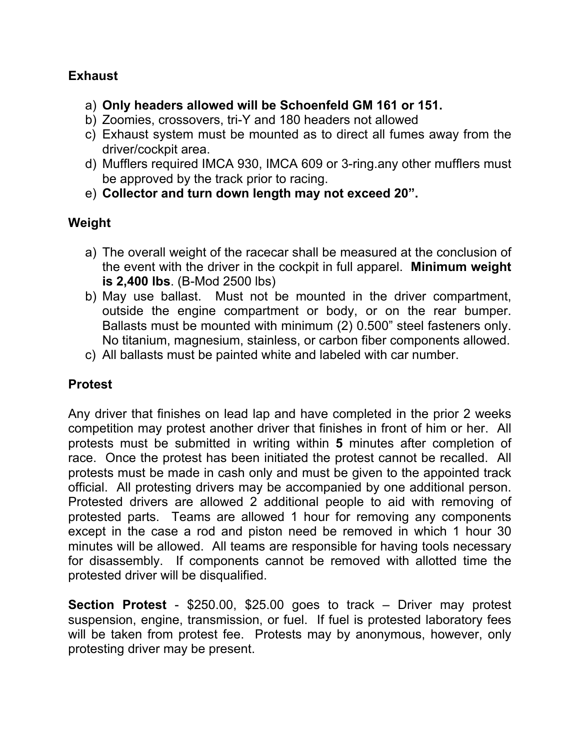#### **Exhaust**

- a) **Only headers allowed will be Schoenfeld GM 161 or 151.**
- b) Zoomies, crossovers, tri-Y and 180 headers not allowed
- c) Exhaust system must be mounted as to direct all fumes away from the driver/cockpit area.
- d) Mufflers required IMCA 930, IMCA 609 or 3-ring.any other mufflers must be approved by the track prior to racing.
- e) **Collector and turn down length may not exceed 20".**

## **Weight**

- a) The overall weight of the racecar shall be measured at the conclusion of the event with the driver in the cockpit in full apparel. **Minimum weight is 2,400 lbs**. (B-Mod 2500 lbs)
- b) May use ballast. Must not be mounted in the driver compartment, outside the engine compartment or body, or on the rear bumper. Ballasts must be mounted with minimum (2) 0.500" steel fasteners only. No titanium, magnesium, stainless, or carbon fiber components allowed.
- c) All ballasts must be painted white and labeled with car number.

### **Protest**

Any driver that finishes on lead lap and have completed in the prior 2 weeks competition may protest another driver that finishes in front of him or her. All protests must be submitted in writing within **5** minutes after completion of race. Once the protest has been initiated the protest cannot be recalled. All protests must be made in cash only and must be given to the appointed track official. All protesting drivers may be accompanied by one additional person. Protested drivers are allowed 2 additional people to aid with removing of protested parts. Teams are allowed 1 hour for removing any components except in the case a rod and piston need be removed in which 1 hour 30 minutes will be allowed. All teams are responsible for having tools necessary for disassembly. If components cannot be removed with allotted time the protested driver will be disqualified.

**Section Protest** - \$250.00, \$25.00 goes to track – Driver may protest suspension, engine, transmission, or fuel. If fuel is protested laboratory fees will be taken from protest fee. Protests may by anonymous, however, only protesting driver may be present.